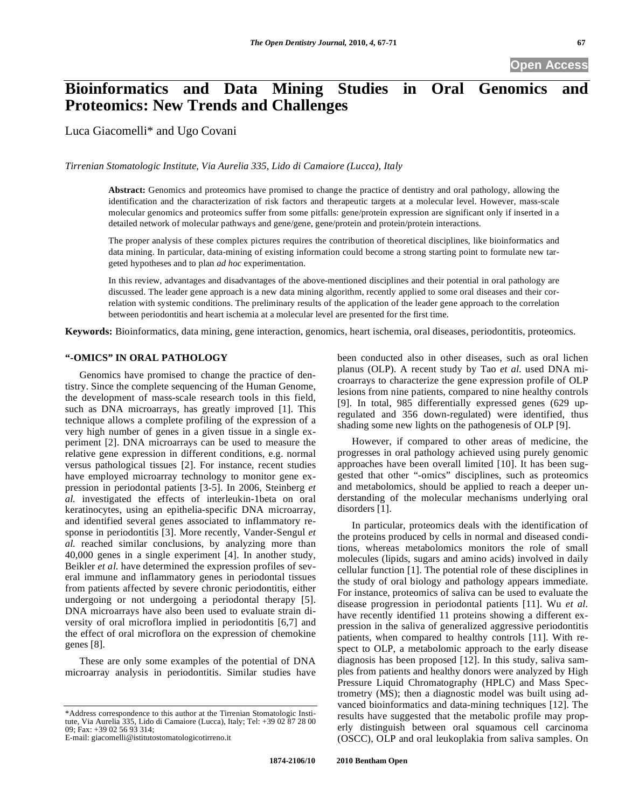# **Bioinformatics and Data Mining Studies in Oral Genomics and Proteomics: New Trends and Challenges**

Luca Giacomelli\* and Ugo Covani

*Tirrenian Stomatologic Institute, Via Aurelia 335, Lido di Camaiore (Lucca), Italy* 

**Abstract:** Genomics and proteomics have promised to change the practice of dentistry and oral pathology, allowing the identification and the characterization of risk factors and therapeutic targets at a molecular level. However, mass-scale molecular genomics and proteomics suffer from some pitfalls: gene/protein expression are significant only if inserted in a detailed network of molecular pathways and gene/gene, gene/protein and protein/protein interactions.

The proper analysis of these complex pictures requires the contribution of theoretical disciplines, like bioinformatics and data mining. In particular, data-mining of existing information could become a strong starting point to formulate new targeted hypotheses and to plan *ad hoc* experimentation.

In this review, advantages and disadvantages of the above-mentioned disciplines and their potential in oral pathology are discussed. The leader gene approach is a new data mining algorithm, recently applied to some oral diseases and their correlation with systemic conditions. The preliminary results of the application of the leader gene approach to the correlation between periodontitis and heart ischemia at a molecular level are presented for the first time.

**Keywords:** Bioinformatics, data mining, gene interaction, genomics, heart ischemia, oral diseases, periodontitis, proteomics.

## **"-OMICS" IN ORAL PATHOLOGY**

Genomics have promised to change the practice of dentistry. Since the complete sequencing of the Human Genome, the development of mass-scale research tools in this field, such as DNA microarrays, has greatly improved [1]. This technique allows a complete profiling of the expression of a very high number of genes in a given tissue in a single experiment [2]. DNA microarrays can be used to measure the relative gene expression in different conditions, e.g. normal versus pathological tissues [2]. For instance, recent studies have employed microarray technology to monitor gene expression in periodontal patients [3-5]. In 2006, Steinberg *et al.* investigated the effects of interleukin-1beta on oral keratinocytes, using an epithelia-specific DNA microarray, and identified several genes associated to inflammatory response in periodontitis [3]. More recently, Vander-Sengul *et al.* reached similar conclusions, by analyzing more than 40,000 genes in a single experiment [4]. In another study, Beikler *et al.* have determined the expression profiles of several immune and inflammatory genes in periodontal tissues from patients affected by severe chronic periodontitis, either undergoing or not undergoing a periodontal therapy [5]. DNA microarrays have also been used to evaluate strain diversity of oral microflora implied in periodontitis [6,7] and the effect of oral microflora on the expression of chemokine genes [8].

These are only some examples of the potential of DNA microarray analysis in periodontitis. Similar studies have

\*Address correspondence to this author at the Tirrenian Stomatologic Institute, Via Aurelia 335, Lido di Camaiore (Lucca), Italy; Tel: +39 02 87 28 00 09; Fax: +39 02 56 93 314;

E-mail: giacomelli@istitutostomatologicotirreno.it

been conducted also in other diseases, such as oral lichen planus (OLP). A recent study by Tao *et al*. used DNA microarrays to characterize the gene expression profile of OLP lesions from nine patients, compared to nine healthy controls [9]. In total, 985 differentially expressed genes (629 upregulated and 356 down-regulated) were identified, thus shading some new lights on the pathogenesis of OLP [9].

However, if compared to other areas of medicine, the progresses in oral pathology achieved using purely genomic approaches have been overall limited [10]. It has been suggested that other "-omics" disciplines, such as proteomics and metabolomics, should be applied to reach a deeper understanding of the molecular mechanisms underlying oral disorders [1].

In particular, proteomics deals with the identification of the proteins produced by cells in normal and diseased conditions, whereas metabolomics monitors the role of small molecules (lipids, sugars and amino acids) involved in daily cellular function [1]. The potential role of these disciplines in the study of oral biology and pathology appears immediate. For instance, proteomics of saliva can be used to evaluate the disease progression in periodontal patients [11]. Wu *et al.* have recently identified 11 proteins showing a different expression in the saliva of generalized aggressive periodontitis patients, when compared to healthy controls [11]. With respect to OLP, a metabolomic approach to the early disease diagnosis has been proposed [12]. In this study, saliva samples from patients and healthy donors were analyzed by High Pressure Liquid Chromatography (HPLC) and Mass Spectrometry (MS); then a diagnostic model was built using advanced bioinformatics and data-mining techniques [12]. The results have suggested that the metabolic profile may properly distinguish between oral squamous cell carcinoma (OSCC), OLP and oral leukoplakia from saliva samples. On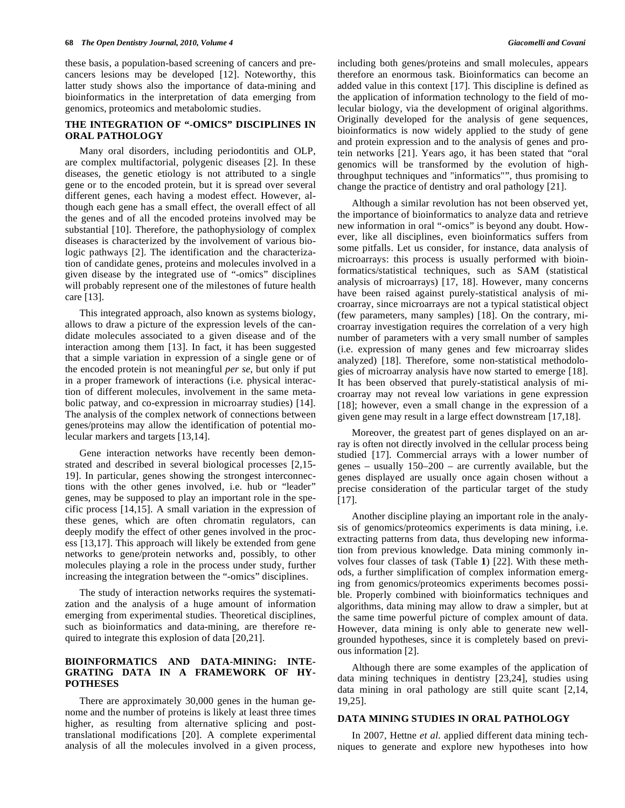these basis, a population-based screening of cancers and precancers lesions may be developed [12]. Noteworthy, this latter study shows also the importance of data-mining and bioinformatics in the interpretation of data emerging from genomics, proteomics and metabolomic studies.

# **THE INTEGRATION OF "-OMICS" DISCIPLINES IN ORAL PATHOLOGY**

Many oral disorders, including periodontitis and OLP, are complex multifactorial, polygenic diseases [2]. In these diseases, the genetic etiology is not attributed to a single gene or to the encoded protein, but it is spread over several different genes, each having a modest effect. However, although each gene has a small effect, the overall effect of all the genes and of all the encoded proteins involved may be substantial [10]. Therefore, the pathophysiology of complex diseases is characterized by the involvement of various biologic pathways [2]. The identification and the characterization of candidate genes, proteins and molecules involved in a given disease by the integrated use of "-omics" disciplines will probably represent one of the milestones of future health care [13].

This integrated approach, also known as systems biology, allows to draw a picture of the expression levels of the candidate molecules associated to a given disease and of the interaction among them [13]. In fact, it has been suggested that a simple variation in expression of a single gene or of the encoded protein is not meaningful *per se*, but only if put in a proper framework of interactions (i.e. physical interaction of different molecules, involvement in the same metabolic patway, and co-expression in microarray studies) [14]. The analysis of the complex network of connections between genes/proteins may allow the identification of potential molecular markers and targets [13,14].

Gene interaction networks have recently been demonstrated and described in several biological processes [2,15- 19]. In particular, genes showing the strongest interconnections with the other genes involved, i.e. hub or "leader" genes, may be supposed to play an important role in the specific process [14,15]. A small variation in the expression of these genes, which are often chromatin regulators, can deeply modify the effect of other genes involved in the process [13,17]. This approach will likely be extended from gene networks to gene/protein networks and, possibly, to other molecules playing a role in the process under study, further increasing the integration between the "-omics" disciplines.

The study of interaction networks requires the systematization and the analysis of a huge amount of information emerging from experimental studies. Theoretical disciplines, such as bioinformatics and data-mining, are therefore required to integrate this explosion of data [20,21].

# **BIOINFORMATICS AND DATA-MINING: INTE-GRATING DATA IN A FRAMEWORK OF HY-POTHESES**

There are approximately 30,000 genes in the human genome and the number of proteins is likely at least three times higher, as resulting from alternative splicing and posttranslational modifications [20]. A complete experimental analysis of all the molecules involved in a given process, including both genes/proteins and small molecules, appears therefore an enormous task. Bioinformatics can become an added value in this context [17]. This discipline is defined as the application of information technology to the field of molecular biology, via the development of original algorithms. Originally developed for the analysis of gene sequences, bioinformatics is now widely applied to the study of gene and protein expression and to the analysis of genes and protein networks [21]. Years ago, it has been stated that "oral genomics will be transformed by the evolution of highthroughput techniques and "informatics"", thus promising to change the practice of dentistry and oral pathology [21].

Although a similar revolution has not been observed yet, the importance of bioinformatics to analyze data and retrieve new information in oral "-omics" is beyond any doubt. However, like all disciplines, even bioinformatics suffers from some pitfalls. Let us consider, for instance, data analysis of microarrays: this process is usually performed with bioinformatics/statistical techniques, such as SAM (statistical analysis of microarrays) [17, 18]. However, many concerns have been raised against purely-statistical analysis of microarray, since microarrays are not a typical statistical object (few parameters, many samples) [18]. On the contrary, microarray investigation requires the correlation of a very high number of parameters with a very small number of samples (i.e. expression of many genes and few microarray slides analyzed) [18]. Therefore, some non-statistical methodologies of microarray analysis have now started to emerge [18]. It has been observed that purely-statistical analysis of microarray may not reveal low variations in gene expression [18]; however, even a small change in the expression of a given gene may result in a large effect downstream [17,18].

Moreover, the greatest part of genes displayed on an array is often not directly involved in the cellular process being studied [17]. Commercial arrays with a lower number of genes – usually 150–200 – are currently available, but the genes displayed are usually once again chosen without a precise consideration of the particular target of the study [17].

Another discipline playing an important role in the analysis of genomics/proteomics experiments is data mining, i.e. extracting patterns from data, thus developing new information from previous knowledge. Data mining commonly involves four classes of task (Table **1**) [22]. With these methods, a further simplification of complex information emerging from genomics/proteomics experiments becomes possible. Properly combined with bioinformatics techniques and algorithms, data mining may allow to draw a simpler, but at the same time powerful picture of complex amount of data. However, data mining is only able to generate new wellgrounded hypotheses, since it is completely based on previous information [2].

Although there are some examples of the application of data mining techniques in dentistry [23,24], studies using data mining in oral pathology are still quite scant [2,14, 19,25].

# **DATA MINING STUDIES IN ORAL PATHOLOGY**

In 2007, Hettne *et al.* applied different data mining techniques to generate and explore new hypotheses into how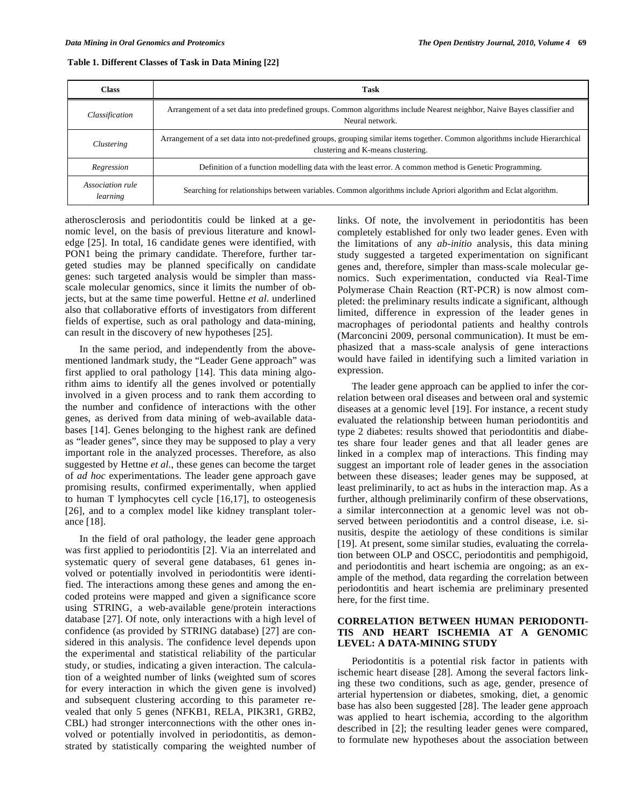|  |  | Table 1. Different Classes of Task in Data Mining [22] |
|--|--|--------------------------------------------------------|
|--|--|--------------------------------------------------------|

| <b>Class</b>                 | Task                                                                                                                                                                |  |  |  |
|------------------------------|---------------------------------------------------------------------------------------------------------------------------------------------------------------------|--|--|--|
| Classification               | Arrangement of a set data into predefined groups. Common algorithms include Nearest neighbor, Naive Bayes classifier and<br>Neural network.                         |  |  |  |
| Clustering                   | Arrangement of a set data into not-predefined groups, grouping similar items together. Common algorithms include Hierarchical<br>clustering and K-means clustering. |  |  |  |
| Regression                   | Definition of a function modelling data with the least error. A common method is Genetic Programming.                                                               |  |  |  |
| Association rule<br>learning | Searching for relationships between variables. Common algorithms include Apriori algorithm and Eclat algorithm.                                                     |  |  |  |

atherosclerosis and periodontitis could be linked at a genomic level, on the basis of previous literature and knowledge [25]. In total, 16 candidate genes were identified, with PON1 being the primary candidate. Therefore, further targeted studies may be planned specifically on candidate genes: such targeted analysis would be simpler than massscale molecular genomics, since it limits the number of objects, but at the same time powerful. Hettne *et al.* underlined also that collaborative efforts of investigators from different fields of expertise, such as oral pathology and data-mining, can result in the discovery of new hypotheses [25].

In the same period, and independently from the abovementioned landmark study, the "Leader Gene approach" was first applied to oral pathology [14]. This data mining algorithm aims to identify all the genes involved or potentially involved in a given process and to rank them according to the number and confidence of interactions with the other genes, as derived from data mining of web-available databases [14]. Genes belonging to the highest rank are defined as "leader genes", since they may be supposed to play a very important role in the analyzed processes. Therefore, as also suggested by Hettne *et al.*, these genes can become the target of *ad hoc* experimentations. The leader gene approach gave promising results, confirmed experimentally, when applied to human T lymphocytes cell cycle [16,17], to osteogenesis [26], and to a complex model like kidney transplant tolerance [18].

In the field of oral pathology, the leader gene approach was first applied to periodontitis [2]. Via an interrelated and systematic query of several gene databases, 61 genes involved or potentially involved in periodontitis were identified. The interactions among these genes and among the encoded proteins were mapped and given a significance score using STRING, a web-available gene/protein interactions database [27]. Of note, only interactions with a high level of confidence (as provided by STRING database) [27] are considered in this analysis. The confidence level depends upon the experimental and statistical reliability of the particular study, or studies, indicating a given interaction. The calculation of a weighted number of links (weighted sum of scores for every interaction in which the given gene is involved) and subsequent clustering according to this parameter revealed that only 5 genes (NFKB1, RELA, PIK3R1, GRB2, CBL) had stronger interconnections with the other ones involved or potentially involved in periodontitis, as demonstrated by statistically comparing the weighted number of links. Of note, the involvement in periodontitis has been completely established for only two leader genes. Even with the limitations of any *ab-initio* analysis, this data mining study suggested a targeted experimentation on significant genes and, therefore, simpler than mass-scale molecular genomics. Such experimentation, conducted via Real-Time Polymerase Chain Reaction (RT-PCR) is now almost completed: the preliminary results indicate a significant, although limited, difference in expression of the leader genes in macrophages of periodontal patients and healthy controls (Marconcini 2009, personal communication). It must be emphasized that a mass-scale analysis of gene interactions would have failed in identifying such a limited variation in expression.

The leader gene approach can be applied to infer the correlation between oral diseases and between oral and systemic diseases at a genomic level [19]. For instance, a recent study evaluated the relationship between human periodontitis and type 2 diabetes: results showed that periodontitis and diabetes share four leader genes and that all leader genes are linked in a complex map of interactions. This finding may suggest an important role of leader genes in the association between these diseases; leader genes may be supposed, at least preliminarily, to act as hubs in the interaction map. As a further, although preliminarily confirm of these observations, a similar interconnection at a genomic level was not observed between periodontitis and a control disease, i.e. sinusitis, despite the aetiology of these conditions is similar [19]. At present, some similar studies, evaluating the correlation between OLP and OSCC, periodontitis and pemphigoid, and periodontitis and heart ischemia are ongoing; as an example of the method, data regarding the correlation between periodontitis and heart ischemia are preliminary presented here, for the first time.

# **CORRELATION BETWEEN HUMAN PERIODONTI-TIS AND HEART ISCHEMIA AT A GENOMIC LEVEL: A DATA-MINING STUDY**

Periodontitis is a potential risk factor in patients with ischemic heart disease [28]. Among the several factors linking these two conditions, such as age, gender, presence of arterial hypertension or diabetes, smoking, diet, a genomic base has also been suggested [28]. The leader gene approach was applied to heart ischemia, according to the algorithm described in [2]; the resulting leader genes were compared, to formulate new hypotheses about the association between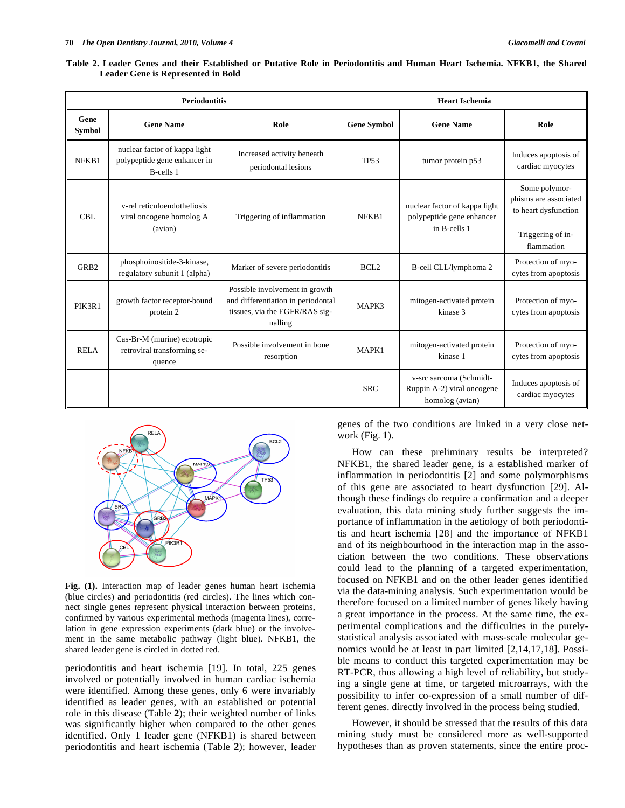| <b>Periodontitis</b>  |                                                                            |                                                                                                                   | <b>Heart Ischemia</b> |                                                                            |                                                                                                   |
|-----------------------|----------------------------------------------------------------------------|-------------------------------------------------------------------------------------------------------------------|-----------------------|----------------------------------------------------------------------------|---------------------------------------------------------------------------------------------------|
| Gene<br><b>Symbol</b> | <b>Gene Name</b>                                                           | Role                                                                                                              | <b>Gene Symbol</b>    | <b>Gene Name</b>                                                           | Role                                                                                              |
| NFKB1                 | nuclear factor of kappa light<br>polypeptide gene enhancer in<br>B-cells 1 | Increased activity beneath<br>periodontal lesions                                                                 | <b>TP53</b>           | tumor protein p53                                                          | Induces apoptosis of<br>cardiac myocytes                                                          |
| CBL                   | v-rel reticuloendotheliosis<br>viral oncogene homolog A<br>(avian)         | Triggering of inflammation                                                                                        | NFKB1                 | nuclear factor of kappa light<br>polypeptide gene enhancer<br>in B-cells 1 | Some polymor-<br>phisms are associated<br>to heart dysfunction<br>Triggering of in-<br>flammation |
| GRB <sub>2</sub>      | phosphoinositide-3-kinase,<br>regulatory subunit 1 (alpha)                 | Marker of severe periodontitis                                                                                    | BCL2                  | B-cell CLL/lymphoma 2                                                      | Protection of myo-<br>cytes from apoptosis                                                        |
| PIK3R1                | growth factor receptor-bound<br>protein 2                                  | Possible involvement in growth<br>and differentiation in periodontal<br>tissues, via the EGFR/RAS sig-<br>nalling | MAPK3                 | mitogen-activated protein<br>kinase 3                                      | Protection of myo-<br>cytes from apoptosis                                                        |
| <b>RELA</b>           | Cas-Br-M (murine) ecotropic<br>retroviral transforming se-<br>quence       | Possible involvement in bone<br>resorption                                                                        | MAPK1                 | mitogen-activated protein<br>kinase 1                                      | Protection of myo-<br>cytes from apoptosis                                                        |
|                       |                                                                            |                                                                                                                   | <b>SRC</b>            | v-src sarcoma (Schmidt-<br>Ruppin A-2) viral oncogene<br>homolog (avian)   | Induces apoptosis of<br>cardiac myocytes                                                          |

**Table 2. Leader Genes and their Established or Putative Role in Periodontitis and Human Heart Ischemia. NFKB1, the Shared Leader Gene is Represented in Bold** 



**Fig. (1).** Interaction map of leader genes human heart ischemia (blue circles) and periodontitis (red circles). The lines which connect single genes represent physical interaction between proteins, confirmed by various experimental methods (magenta lines), correlation in gene expression experiments (dark blue) or the involvement in the same metabolic pathway (light blue). NFKB1, the shared leader gene is circled in dotted red.

periodontitis and heart ischemia [19]. In total, 225 genes involved or potentially involved in human cardiac ischemia were identified. Among these genes, only 6 were invariably identified as leader genes, with an established or potential role in this disease (Table **2**); their weighted number of links was significantly higher when compared to the other genes identified. Only 1 leader gene (NFKB1) is shared between periodontitis and heart ischemia (Table **2**); however, leader genes of the two conditions are linked in a very close network (Fig. **1**).

How can these preliminary results be interpreted? NFKB1, the shared leader gene, is a established marker of inflammation in periodontitis [2] and some polymorphisms of this gene are associated to heart dysfunction [29]. Although these findings do require a confirmation and a deeper evaluation, this data mining study further suggests the importance of inflammation in the aetiology of both periodontitis and heart ischemia [28] and the importance of NFKB1 and of its neighbourhood in the interaction map in the association between the two conditions. These observations could lead to the planning of a targeted experimentation, focused on NFKB1 and on the other leader genes identified via the data-mining analysis. Such experimentation would be therefore focused on a limited number of genes likely having a great importance in the process. At the same time, the experimental complications and the difficulties in the purelystatistical analysis associated with mass-scale molecular genomics would be at least in part limited [2,14,17,18]. Possible means to conduct this targeted experimentation may be RT-PCR, thus allowing a high level of reliability, but studying a single gene at time, or targeted microarrays, with the possibility to infer co-expression of a small number of different genes. directly involved in the process being studied.

However, it should be stressed that the results of this data mining study must be considered more as well-supported hypotheses than as proven statements, since the entire proc-